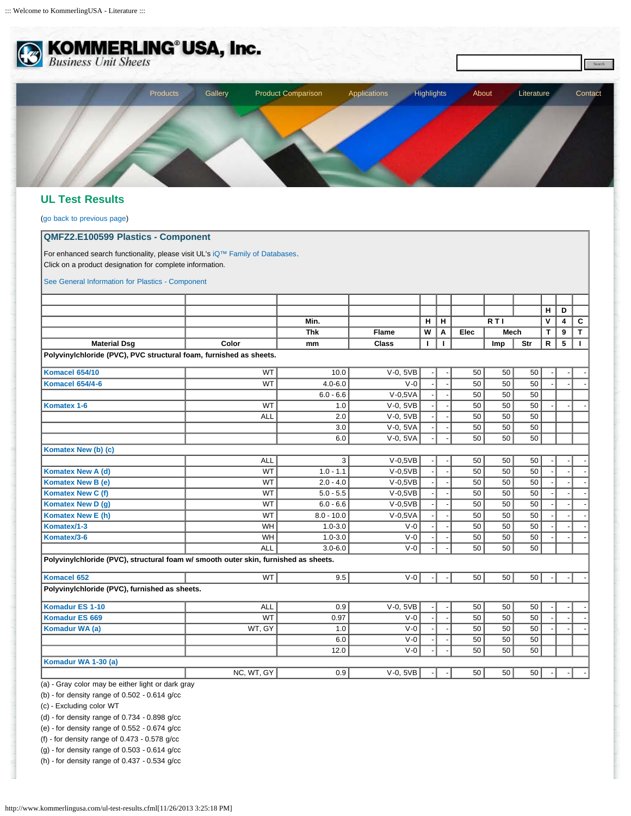

## **UL Test Results**

([go back to previous page](javascript:window.history.back();))

## **QMFZ2.E100599 Plastics - Component**

For enhanced search functionality, please visit UL's [iQ™ Family of Databases](http://iq.ul.com/). Click on a product designation for complete information.

[See General Information for Plastics - Component](http://database.ul.com/cgi-bin/XYV/template/LISEXT/1FRAME/showpage.html?&name=QMFZ2.GuideInfo&ccnshorttitle=Plastics+-+Component&objid=1073827223&cfgid=1073741824&version=versionless&parent_id=1073827222&sequence=1)

|                                                                                     |            | Min.<br><b>Thk</b><br>mm | <b>Flame</b><br><b>Class</b> | н<br>W<br>п | H  |      |                  |     | н            | D |                  |
|-------------------------------------------------------------------------------------|------------|--------------------------|------------------------------|-------------|----|------|------------------|-----|--------------|---|------------------|
|                                                                                     |            |                          |                              |             |    |      | R <sub>T</sub> I |     | V            | 4 |                  |
| <b>Material Dsg</b>                                                                 |            |                          |                              |             | A  | Elec | Mech             |     | т            | 9 | C<br>$\mathbf T$ |
|                                                                                     | Color      |                          |                              |             | I. |      | Imp              | Str | $\mathsf{R}$ | 5 | $\blacksquare$   |
| Polyvinylchloride (PVC), PVC structural foam, furnished as sheets.                  |            |                          |                              |             |    |      |                  |     |              |   |                  |
| Komacel 654/10                                                                      | <b>WT</b>  | 10.0                     | $V-0$ , $5VB$                |             |    | 50   | 50               | 50  |              |   |                  |
| <b>Komacel 654/4-6</b>                                                              | <b>WT</b>  | $4.0 - 6.0$              | $V - 0$                      |             |    | 50   | 50               | 50  |              |   |                  |
|                                                                                     |            | $6.0 - 6.6$              | $V-0.5VA$                    |             |    | 50   | 50               | 50  |              |   |                  |
| Komatex 1-6                                                                         | <b>WT</b>  | 1.0                      | $V-0$ , 5VB                  |             |    | 50   | 50               | 50  |              |   |                  |
|                                                                                     | <b>ALL</b> | 2.0                      | $V-0$ , $5VB$                |             |    | 50   | 50               | 50  |              |   |                  |
|                                                                                     |            | 3.0                      | V-0, 5VA                     |             |    | 50   | 50               | 50  |              |   |                  |
|                                                                                     |            | 6.0                      | V-0, 5VA                     |             |    | 50   | 50               | 50  |              |   |                  |
| Komatex New (b) (c)                                                                 |            |                          |                              |             |    |      |                  |     |              |   |                  |
|                                                                                     | <b>ALL</b> | 3                        | $V-0,5VB$                    |             |    | 50   | 50               | 50  |              |   |                  |
| Komatex New A (d)                                                                   | <b>WT</b>  | $1.0 - 1.1$              | $V-0,5VB$                    |             |    | 50   | 50               | 50  |              |   |                  |
| Komatex New B (e)                                                                   | <b>WT</b>  | $2.0 - 4.0$              | $V-0.5VB$                    |             |    | 50   | 50               | 50  |              |   |                  |
| Komatex New C (f)                                                                   | <b>WT</b>  | $5.0 - 5.5$              | $V-0.5VB$                    |             |    | 50   | 50               | 50  |              |   |                  |
| Komatex New D (g)                                                                   | <b>WT</b>  | $6.0 - 6.6$              | $V-0,5VB$                    |             |    | 50   | 50               | 50  |              |   |                  |
| Komatex New E (h)                                                                   | <b>WT</b>  | $8.0 - 10.0$             | $V-0,5VA$                    |             |    | 50   | 50               | 50  |              |   |                  |
| Komatex/1-3                                                                         | WH         | $1.0 - 3.0$              | $V-0$                        |             |    | 50   | 50               | 50  |              |   |                  |
| Komatex/3-6                                                                         | WH         | $1.0 - 3.0$              | $V-0$                        |             |    | 50   | 50               | 50  |              |   |                  |
|                                                                                     | <b>ALL</b> | $3.0 - 6.0$              | $V - 0$                      |             |    | 50   | 50               | 50  |              |   |                  |
| Polyvinylchloride (PVC), structural foam w/ smooth outer skin, furnished as sheets. |            |                          |                              |             |    |      |                  |     |              |   |                  |
| Komacel 652                                                                         | <b>WT</b>  | 9.5                      | $V - 0$                      |             |    | 50   | 50               | 50  |              |   |                  |
| Polyvinylchloride (PVC), furnished as sheets.                                       |            |                          |                              |             |    |      |                  |     |              |   |                  |
| <b>Komadur ES 1-10</b>                                                              | <b>ALL</b> | 0.9                      | $V-0$ , 5VB                  |             |    | 50   | 50               | 50  |              |   |                  |
| <b>Komadur ES 669</b>                                                               | <b>WT</b>  | 0.97                     | $V - 0$                      |             |    | 50   | 50               | 50  |              |   |                  |
| Komadur WA (a)                                                                      | WT, GY     | 1.0                      | $V - 0$                      |             |    | 50   | 50               | 50  |              |   |                  |
|                                                                                     |            | 6.0                      | $V - 0$                      |             |    | 50   | 50               | 50  |              |   |                  |
|                                                                                     |            | 12.0                     | $V - 0$                      |             |    | 50   | 50               | 50  |              |   |                  |
| Komadur WA 1-30 (a)                                                                 |            |                          |                              |             |    |      |                  |     |              |   |                  |
|                                                                                     | NC, WT, GY | 0.9                      | $V-0$ , $5VB$                |             |    | 50   | 50               | 50  |              |   |                  |

(b) - for density range of 0.502 - 0.614 g/cc

(c) - Excluding color WT

(d) - for density range of 0.734 - 0.898 g/cc

(e) - for density range of 0.552 - 0.674 g/cc

(f) - for density range of 0.473 - 0.578 g/cc

(g) - for density range of 0.503 - 0.614 g/cc

(h) - for density range of 0.437 - 0.534 g/cc